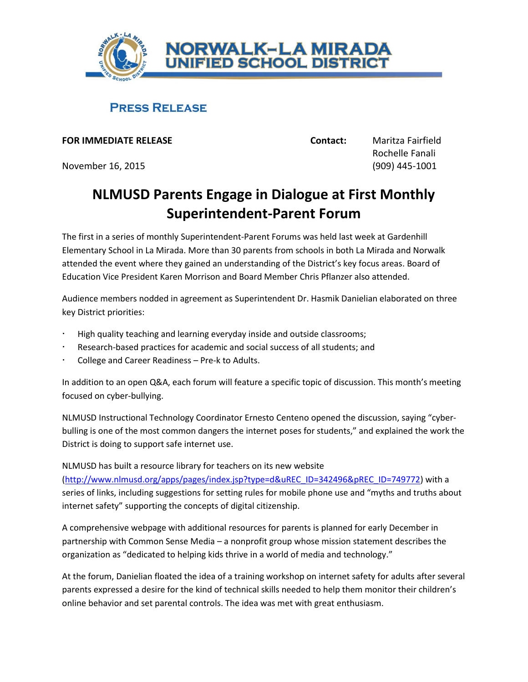

## **PRESS RELEASE**

**FOR IMMEDIATE RELEASE Contact:** Maritza Fairfield

November 16, 2015 (909) 445-1001

Rochelle Fanali

## **NLMUSD Parents Engage in Dialogue at First Monthly Superintendent-Parent Forum**

The first in a series of monthly Superintendent-Parent Forums was held last week at Gardenhill Elementary School in La Mirada. More than 30 parents from schools in both La Mirada and Norwalk attended the event where they gained an understanding of the District's key focus areas. Board of Education Vice President Karen Morrison and Board Member Chris Pflanzer also attended.

Audience members nodded in agreement as Superintendent Dr. Hasmik Danielian elaborated on three key District priorities:

- High quality teaching and learning everyday inside and outside classrooms;
- Research-based practices for academic and social success of all students; and
- College and Career Readiness Pre-k to Adults.

In addition to an open Q&A, each forum will feature a specific topic of discussion. This month's meeting focused on cyber-bullying.

NLMUSD Instructional Technology Coordinator Ernesto Centeno opened the discussion, saying "cyberbulling is one of the most common dangers the internet poses for students," and explained the work the District is doing to support safe internet use.

NLMUSD has built a resource library for teachers on its new website

[\(http://www.nlmusd.org/apps/pages/index.jsp?type=d&uREC\\_ID=342496&pREC\\_ID=749772\)](http://www.nlmusd.org/apps/pages/index.jsp?type=d&uREC_ID=342496&pREC_ID=749772) with a series of links, including suggestions for setting rules for mobile phone use and "myths and truths about internet safety" supporting the concepts of digital citizenship.

A comprehensive webpage with additional resources for parents is planned for early December in partnership with Common Sense Media – a nonprofit group whose mission statement describes the organization as "dedicated to helping kids thrive in a world of media and technology."

At the forum, Danielian floated the idea of a training workshop on internet safety for adults after several parents expressed a desire for the kind of technical skills needed to help them monitor their children's online behavior and set parental controls. The idea was met with great enthusiasm.